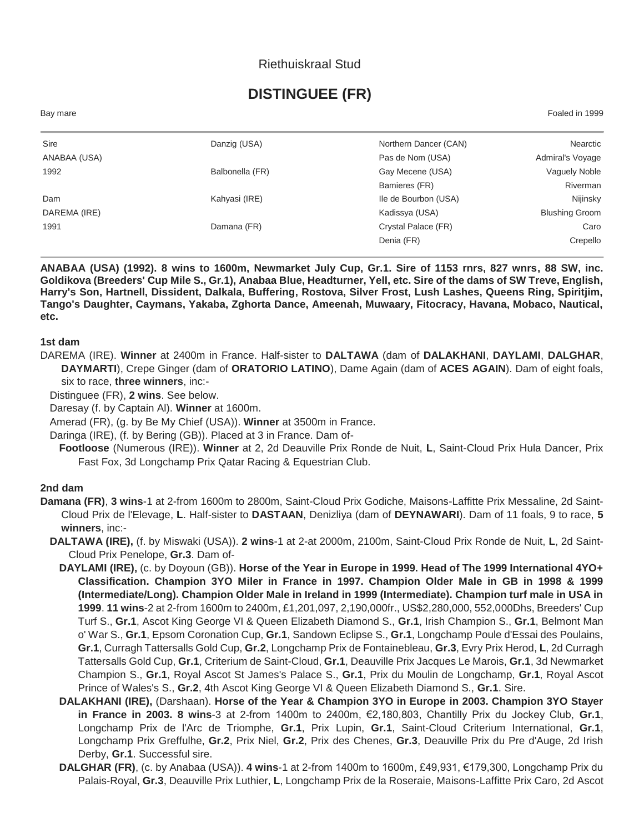## Riethuiskraal Stud

# **DISTINGUEE (FR)**

Bay mare Foaled in 1999

| Sire         | Danzig (USA)    | Northern Dancer (CAN) | Nearctic              |
|--------------|-----------------|-----------------------|-----------------------|
| ANABAA (USA) |                 | Pas de Nom (USA)      | Admiral's Voyage      |
| 1992         | Balbonella (FR) | Gay Mecene (USA)      | Vaguely Noble         |
|              |                 | Bamieres (FR)         | Riverman              |
| Dam          | Kahyasi (IRE)   | Ile de Bourbon (USA)  | Nijinsky              |
| DAREMA (IRE) |                 | Kadissya (USA)        | <b>Blushing Groom</b> |
| 1991         | Damana (FR)     | Crystal Palace (FR)   | Caro                  |
|              |                 | Denia (FR)            | Crepello              |
|              |                 |                       |                       |

**ANABAA (USA) (1992). 8 wins to 1600m, Newmarket July Cup, Gr.1. Sire of 1153 rnrs, 827 wnrs, 88 SW, inc. Goldikova (Breeders' Cup Mile S., Gr.1), Anabaa Blue, Headturner, Yell, etc. Sire of the dams of SW Treve, English, Harry's Son, Hartnell, Dissident, Dalkala, Buffering, Rostova, Silver Frost, Lush Lashes, Queens Ring, Spiritjim, Tango's Daughter, Caymans, Yakaba, Zghorta Dance, Ameenah, Muwaary, Fitocracy, Havana, Mobaco, Nautical, etc.**

#### **1st dam**

DAREMA (IRE). **Winner** at 2400m in France. Half-sister to **DALTAWA** (dam of **DALAKHANI**, **DAYLAMI**, **DALGHAR**, **DAYMARTI**), Crepe Ginger (dam of **ORATORIO LATINO**), Dame Again (dam of **ACES AGAIN**). Dam of eight foals, six to race, **three winners**, inc:-

Distinguee (FR), **2 wins**. See below.

Daresay (f. by Captain Al). **Winner** at 1600m.

Amerad (FR), (g. by Be My Chief (USA)). **Winner** at 3500m in France.

Daringa (IRE), (f. by Bering (GB)). Placed at 3 in France. Dam of-

**Footloose** (Numerous (IRE)). **Winner** at 2, 2d Deauville Prix Ronde de Nuit, **L**, Saint-Cloud Prix Hula Dancer, Prix Fast Fox, 3d Longchamp Prix Qatar Racing & Equestrian Club.

#### **2nd dam**

- **Damana (FR)**, **3 wins**-1 at 2-from 1600m to 2800m, Saint-Cloud Prix Godiche, Maisons-Laffitte Prix Messaline, 2d Saint-Cloud Prix de l'Elevage, **L**. Half-sister to **DASTAAN**, Denizliya (dam of **DEYNAWARI**). Dam of 11 foals, 9 to race, **5 winners**, inc:-
	- **DALTAWA (IRE),** (f. by Miswaki (USA)). **2 wins**-1 at 2-at 2000m, 2100m, Saint-Cloud Prix Ronde de Nuit, **L**, 2d Saint-Cloud Prix Penelope, **Gr.3**. Dam of-
		- **DAYLAMI (IRE),** (c. by Doyoun (GB)). **Horse of the Year in Europe in 1999. Head of The 1999 International 4YO+ Classification. Champion 3YO Miler in France in 1997. Champion Older Male in GB in 1998 & 1999 (Intermediate/Long). Champion Older Male in Ireland in 1999 (Intermediate). Champion turf male in USA in 1999**. **11 wins**-2 at 2-from 1600m to 2400m, £1,201,097, 2,190,000fr., US\$2,280,000, 552,000Dhs, Breeders' Cup Turf S., **Gr.1**, Ascot King George VI & Queen Elizabeth Diamond S., **Gr.1**, Irish Champion S., **Gr.1**, Belmont Man o' War S., **Gr.1**, Epsom Coronation Cup, **Gr.1**, Sandown Eclipse S., **Gr.1**, Longchamp Poule d'Essai des Poulains, **Gr.1**, Curragh Tattersalls Gold Cup, **Gr.2**, Longchamp Prix de Fontainebleau, **Gr.3**, Evry Prix Herod, **L**, 2d Curragh Tattersalls Gold Cup, **Gr.1**, Criterium de Saint-Cloud, **Gr.1**, Deauville Prix Jacques Le Marois, **Gr.1**, 3d Newmarket Champion S., **Gr.1**, Royal Ascot St James's Palace S., **Gr.1**, Prix du Moulin de Longchamp, **Gr.1**, Royal Ascot Prince of Wales's S., **Gr.2**, 4th Ascot King George VI & Queen Elizabeth Diamond S., **Gr.1**. Sire.
		- **DALAKHANI (IRE),** (Darshaan). **Horse of the Year & Champion 3YO in Europe in 2003. Champion 3YO Stayer in France in 2003. 8 wins**-3 at 2-from 1400m to 2400m, €2,180,803, Chantilly Prix du Jockey Club, **Gr.1**, Longchamp Prix de l'Arc de Triomphe, **Gr.1**, Prix Lupin, **Gr.1**, Saint-Cloud Criterium International, **Gr.1**, Longchamp Prix Greffulhe, **Gr.2**, Prix Niel, **Gr.2**, Prix des Chenes, **Gr.3**, Deauville Prix du Pre d'Auge, 2d Irish Derby, **Gr.1**. Successful sire.
		- **DALGHAR (FR)**, (c. by Anabaa (USA)). **4 wins**-1 at 2-from 1400m to 1600m, £49,931, €179,300, Longchamp Prix du Palais-Royal, **Gr.3**, Deauville Prix Luthier, **L**, Longchamp Prix de la Roseraie, Maisons-Laffitte Prix Caro, 2d Ascot